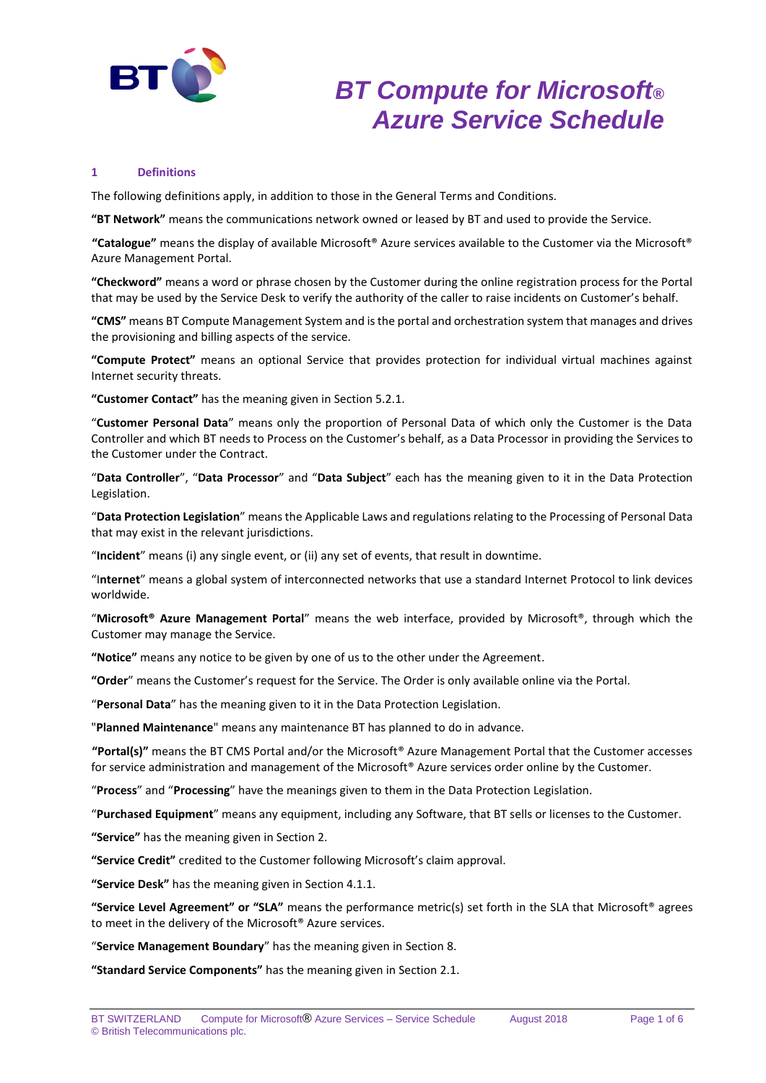

### **1 Definitions**

The following definitions apply, in addition to those in the General Terms and Conditions.

**"BT Network"** means the communications network owned or leased by BT and used to provide the Service.

**"Catalogue"** means the display of available Microsoft® Azure services available to the Customer via the Microsoft® Azure Management Portal.

**"Checkword"** means a word or phrase chosen by the Customer during the online registration process for the Portal that may be used by the Service Desk to verify the authority of the caller to raise incidents on Customer's behalf.

**"CMS"** means BT Compute Management System and is the portal and orchestration system that manages and drives the provisioning and billing aspects of the service.

**"Compute Protect"** means an optional Service that provides protection for individual virtual machines against Internet security threats.

**"Customer Contact"** has the meaning given in Section 5.2.1.

"**Customer Personal Data**" means only the proportion of Personal Data of which only the Customer is the Data Controller and which BT needs to Process on the Customer's behalf, as a Data Processor in providing the Services to the Customer under the Contract.

"**Data Controller**", "**Data Processor**" and "**Data Subject**" each has the meaning given to it in the Data Protection Legislation.

"**Data Protection Legislation**" means the Applicable Laws and regulations relating to the Processing of Personal Data that may exist in the relevant jurisdictions.

"**Incident**" means (i) any single event, or (ii) any set of events, that result in downtime.

"I**nternet**" means a global system of interconnected networks that use a standard Internet Protocol to link devices worldwide.

"**Microsoft® Azure Management Portal**" means the web interface, provided by Microsoft®, through which the Customer may manage the Service.

**"Notice"** means any notice to be given by one of us to the other under the Agreement.

**"Order**" means the Customer's request for the Service. The Order is only available online via the Portal.

"**Personal Data**" has the meaning given to it in the Data Protection Legislation.

"**Planned Maintenance**" means any maintenance BT has planned to do in advance.

**"Portal(s)"** means the BT CMS Portal and/or the Microsoft® Azure Management Portal that the Customer accesses for service administration and management of the Microsoft® Azure services order online by the Customer.

"**Process**" and "**Processing**" have the meanings given to them in the Data Protection Legislation.

"**Purchased Equipment**" means any equipment, including any Software, that BT sells or licenses to the Customer.

**"Service"** has the meaning given in Section 2.

**"Service Credit"** credited to the Customer following Microsoft's claim approval.

**"Service Desk"** has the meaning given in Section 4.1.1.

**"Service Level Agreement" or "SLA"** means the performance metric(s) set forth in the SLA that Microsoft® agrees to meet in the delivery of the Microsoft® Azure services.

"**Service Management Boundary**" has the meaning given in Section 8.

**"Standard Service Components"** has the meaning given in Section 2.1.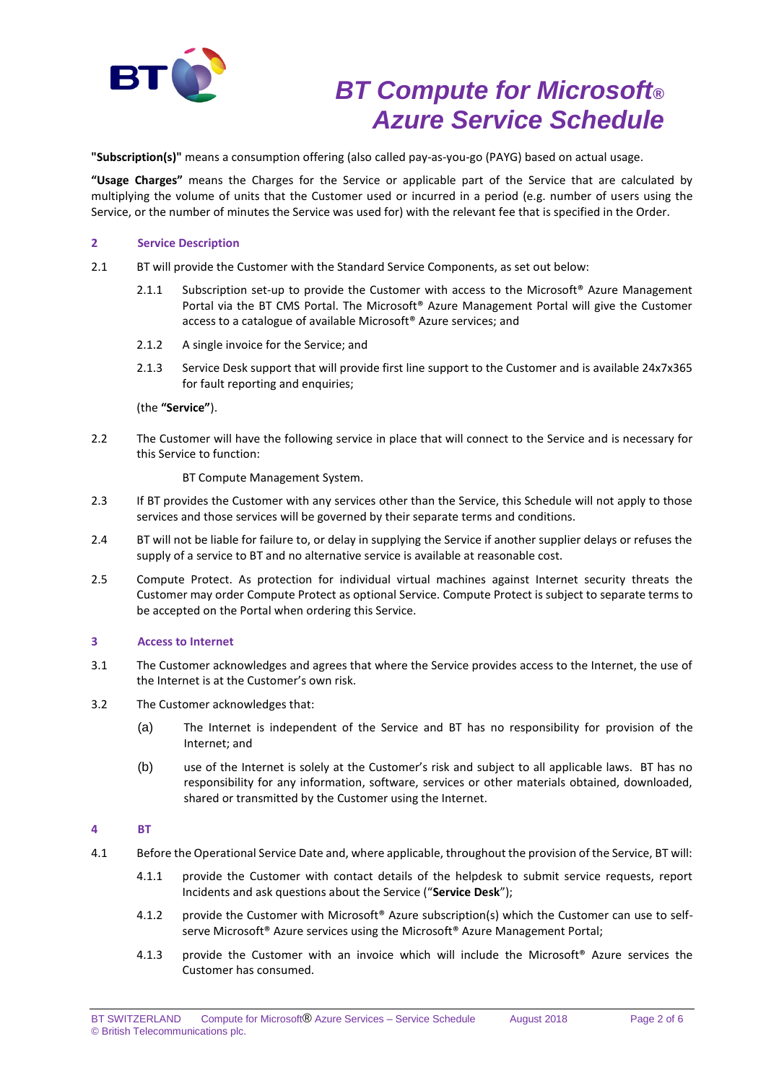

**"Subscription(s)"** means a consumption offering (also called pay-as-you-go (PAYG) based on actual usage.

**"Usage Charges"** means the Charges for the Service or applicable part of the Service that are calculated by multiplying the volume of units that the Customer used or incurred in a period (e.g. number of users using the Service, or the number of minutes the Service was used for) with the relevant fee that is specified in the Order.

### **2 Service Description**

- 2.1 BT will provide the Customer with the Standard Service Components, as set out below:
	- 2.1.1 Subscription set-up to provide the Customer with access to the Microsoft<sup>®</sup> Azure Management Portal via the BT CMS Portal. The Microsoft® Azure Management Portal will give the Customer access to a catalogue of available Microsoft® Azure services; and
	- 2.1.2 A single invoice for the Service; and
	- 2.1.3 Service Desk support that will provide first line support to the Customer and is available 24x7x365 for fault reporting and enquiries;

### (the **"Service"**).

2.2 The Customer will have the following service in place that will connect to the Service and is necessary for this Service to function:

BT Compute Management System.

- 2.3 If BT provides the Customer with any services other than the Service, this Schedule will not apply to those services and those services will be governed by their separate terms and conditions.
- 2.4 BT will not be liable for failure to, or delay in supplying the Service if another supplier delays or refuses the supply of a service to BT and no alternative service is available at reasonable cost.
- 2.5 Compute Protect. As protection for individual virtual machines against Internet security threats the Customer may order Compute Protect as optional Service. Compute Protect is subject to separate terms to be accepted on the Portal when ordering this Service.

## **3 Access to Internet**

- 3.1 The Customer acknowledges and agrees that where the Service provides access to the Internet, the use of the Internet is at the Customer's own risk.
- 3.2 The Customer acknowledges that:
	- (a) The Internet is independent of the Service and BT has no responsibility for provision of the Internet; and
	- (b) use of the Internet is solely at the Customer's risk and subject to all applicable laws. BT has no responsibility for any information, software, services or other materials obtained, downloaded, shared or transmitted by the Customer using the Internet.

## **4 BT**

- 4.1 Before the Operational Service Date and, where applicable, throughout the provision of the Service, BT will:
	- 4.1.1 provide the Customer with contact details of the helpdesk to submit service requests, report Incidents and ask questions about the Service ("**Service Desk**");
	- 4.1.2 provide the Customer with Microsoft® Azure subscription(s) which the Customer can use to selfserve Microsoft® Azure services using the Microsoft® Azure Management Portal;
	- 4.1.3 provide the Customer with an invoice which will include the Microsoft® Azure services the Customer has consumed.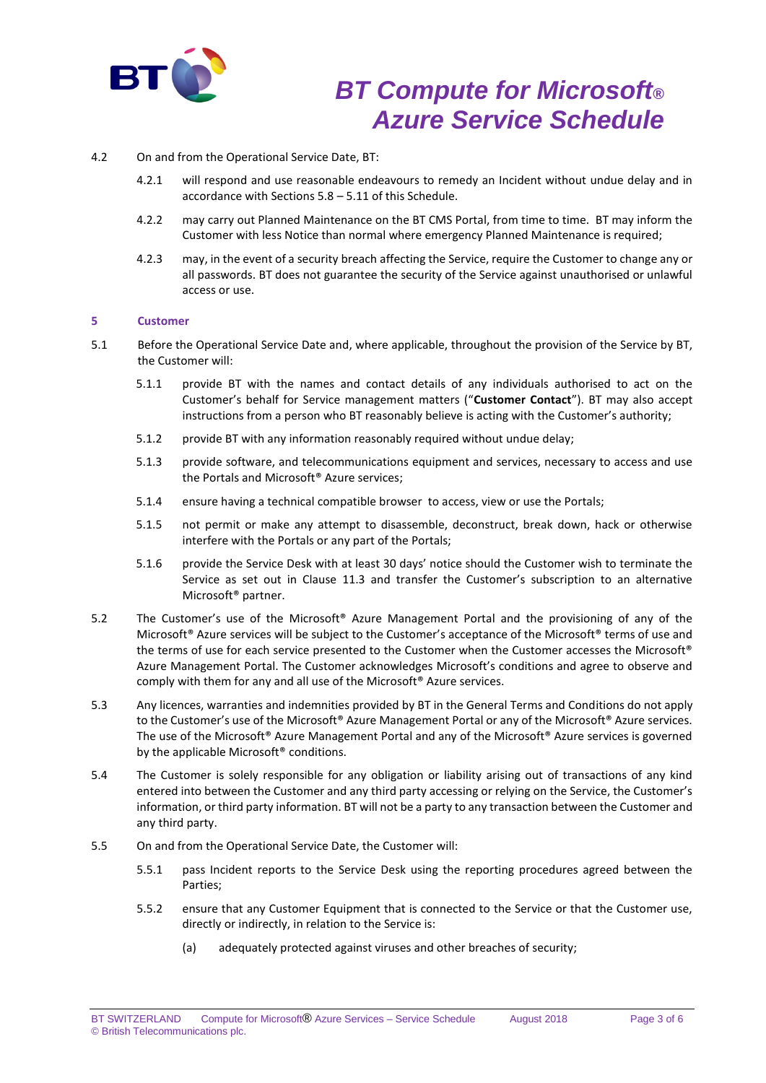

### 4.2 On and from the Operational Service Date, BT:

- 4.2.1 will respond and use reasonable endeavours to remedy an Incident without undue delay and in accordance with Sections 5.8 – 5.11 of this Schedule.
- 4.2.2 may carry out Planned Maintenance on the BT CMS Portal, from time to time. BT may inform the Customer with less Notice than normal where emergency Planned Maintenance is required;
- 4.2.3 may, in the event of a security breach affecting the Service, require the Customer to change any or all passwords. BT does not guarantee the security of the Service against unauthorised or unlawful access or use.

### **5 Customer**

- 5.1 Before the Operational Service Date and, where applicable, throughout the provision of the Service by BT, the Customer will:
	- 5.1.1 provide BT with the names and contact details of any individuals authorised to act on the Customer's behalf for Service management matters ("**Customer Contact**"). BT may also accept instructions from a person who BT reasonably believe is acting with the Customer's authority;
	- 5.1.2 provide BT with any information reasonably required without undue delay;
	- 5.1.3 provide software, and telecommunications equipment and services, necessary to access and use the Portals and Microsoft® Azure services;
	- 5.1.4 ensure having a technical compatible browser to access, view or use the Portals;
	- 5.1.5 not permit or make any attempt to disassemble, deconstruct, break down, hack or otherwise interfere with the Portals or any part of the Portals;
	- 5.1.6 provide the Service Desk with at least 30 days' notice should the Customer wish to terminate the Service as set out in Clause 11.3 and transfer the Customer's subscription to an alternative Microsoft® partner.
- 5.2 The Customer's use of the Microsoft® Azure Management Portal and the provisioning of any of the Microsoft® Azure services will be subject to the Customer's acceptance of the Microsoft® terms of use and the terms of use for each service presented to the Customer when the Customer accesses the Microsoft® Azure Management Portal. The Customer acknowledges Microsoft's conditions and agree to observe and comply with them for any and all use of the Microsoft® Azure services.
- 5.3 Any licences, warranties and indemnities provided by BT in the General Terms and Conditions do not apply to the Customer's use of the Microsoft® Azure Management Portal or any of the Microsoft® Azure services. The use of the Microsoft® Azure Management Portal and any of the Microsoft® Azure services is governed by the applicable Microsoft<sup>®</sup> conditions.
- 5.4 The Customer is solely responsible for any obligation or liability arising out of transactions of any kind entered into between the Customer and any third party accessing or relying on the Service, the Customer's information, or third party information. BT will not be a party to any transaction between the Customer and any third party.
- 5.5 On and from the Operational Service Date, the Customer will:
	- 5.5.1 pass Incident reports to the Service Desk using the reporting procedures agreed between the Parties;
	- 5.5.2 ensure that any Customer Equipment that is connected to the Service or that the Customer use, directly or indirectly, in relation to the Service is:
		- (a) adequately protected against viruses and other breaches of security;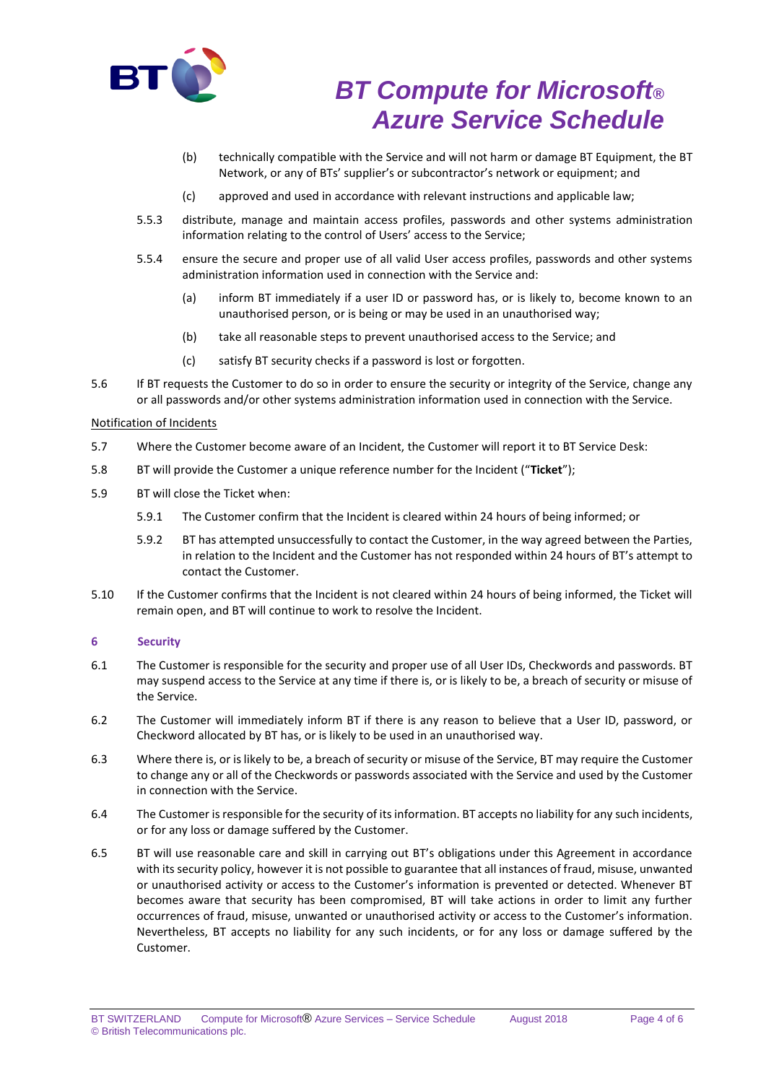

- (b) technically compatible with the Service and will not harm or damage BT Equipment, the BT Network, or any of BTs' supplier's or subcontractor's network or equipment; and
- (c) approved and used in accordance with relevant instructions and applicable law;
- 5.5.3 distribute, manage and maintain access profiles, passwords and other systems administration information relating to the control of Users' access to the Service;
- 5.5.4 ensure the secure and proper use of all valid User access profiles, passwords and other systems administration information used in connection with the Service and:
	- (a) inform BT immediately if a user ID or password has, or is likely to, become known to an unauthorised person, or is being or may be used in an unauthorised way;
	- (b) take all reasonable steps to prevent unauthorised access to the Service; and
	- (c) satisfy BT security checks if a password is lost or forgotten.
- 5.6 If BT requests the Customer to do so in order to ensure the security or integrity of the Service, change any or all passwords and/or other systems administration information used in connection with the Service.

## Notification of Incidents

- 5.7 Where the Customer become aware of an Incident, the Customer will report it to BT Service Desk:
- 5.8 BT will provide the Customer a unique reference number for the Incident ("**Ticket**");
- 5.9 BT will close the Ticket when:
	- 5.9.1 The Customer confirm that the Incident is cleared within 24 hours of being informed; or
	- 5.9.2 BT has attempted unsuccessfully to contact the Customer, in the way agreed between the Parties, in relation to the Incident and the Customer has not responded within 24 hours of BT's attempt to contact the Customer.
- 5.10 If the Customer confirms that the Incident is not cleared within 24 hours of being informed, the Ticket will remain open, and BT will continue to work to resolve the Incident.

## **6 Security**

- 6.1 The Customer is responsible for the security and proper use of all User IDs, Checkwords and passwords. BT may suspend access to the Service at any time if there is, or is likely to be, a breach of security or misuse of the Service.
- 6.2 The Customer will immediately inform BT if there is any reason to believe that a User ID, password, or Checkword allocated by BT has, or is likely to be used in an unauthorised way.
- 6.3 Where there is, or is likely to be, a breach of security or misuse of the Service, BT may require the Customer to change any or all of the Checkwords or passwords associated with the Service and used by the Customer in connection with the Service.
- 6.4 The Customer is responsible for the security of its information. BT accepts no liability for any such incidents, or for any loss or damage suffered by the Customer.
- 6.5 BT will use reasonable care and skill in carrying out BT's obligations under this Agreement in accordance with its security policy, however it is not possible to guarantee that all instances of fraud, misuse, unwanted or unauthorised activity or access to the Customer's information is prevented or detected. Whenever BT becomes aware that security has been compromised, BT will take actions in order to limit any further occurrences of fraud, misuse, unwanted or unauthorised activity or access to the Customer's information. Nevertheless, BT accepts no liability for any such incidents, or for any loss or damage suffered by the Customer.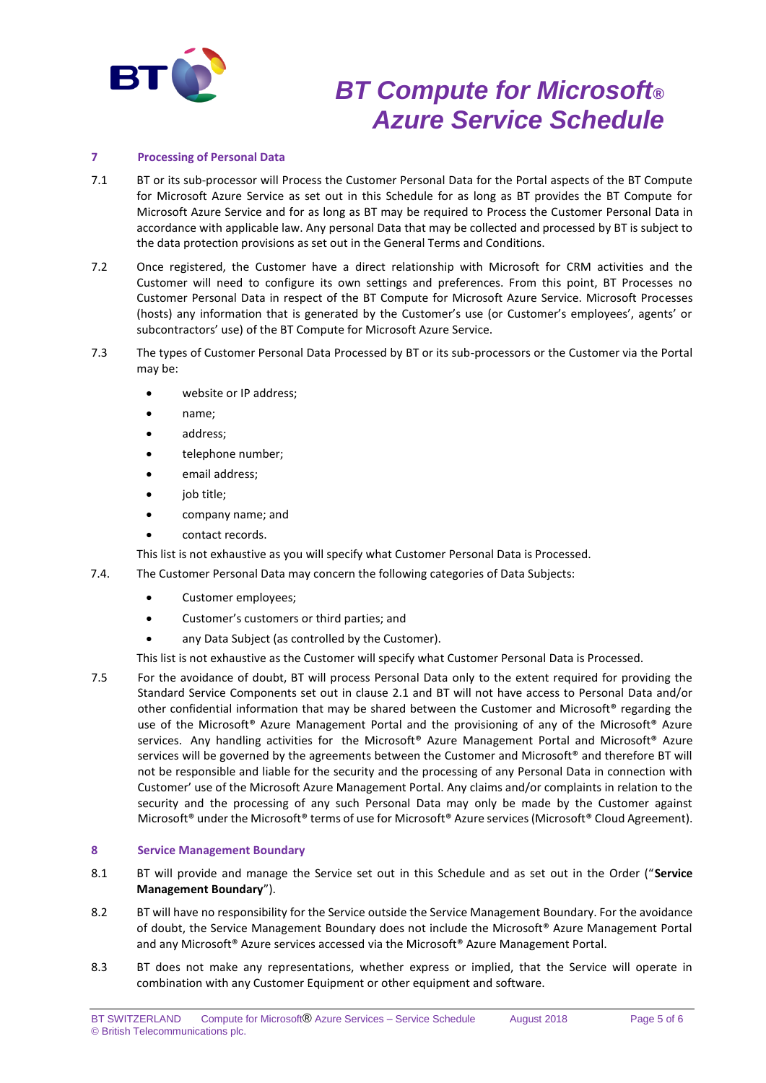

### **7 Processing of Personal Data**

- 7.1 BT or its sub-processor will Process the Customer Personal Data for the Portal aspects of the BT Compute for Microsoft Azure Service as set out in this Schedule for as long as BT provides the BT Compute for Microsoft Azure Service and for as long as BT may be required to Process the Customer Personal Data in accordance with applicable law. Any personal Data that may be collected and processed by BT is subject to the data protection provisions as set out in the General Terms and Conditions.
- 7.2 Once registered, the Customer have a direct relationship with Microsoft for CRM activities and the Customer will need to configure its own settings and preferences. From this point, BT Processes no Customer Personal Data in respect of the BT Compute for Microsoft Azure Service. Microsoft Processes (hosts) any information that is generated by the Customer's use (or Customer's employees', agents' or subcontractors' use) of the BT Compute for Microsoft Azure Service.
- 7.3 The types of Customer Personal Data Processed by BT or its sub-processors or the Customer via the Portal may be:
	- website or IP address;
	- name;
	- address;
	- telephone number;
	- email address;
	- job title;
	- company name; and
	- contact records.

This list is not exhaustive as you will specify what Customer Personal Data is Processed.

- 7.4. The Customer Personal Data may concern the following categories of Data Subjects:
	- Customer employees;
	- Customer's customers or third parties; and
	- any Data Subject (as controlled by the Customer).

This list is not exhaustive as the Customer will specify what Customer Personal Data is Processed.

7.5 For the avoidance of doubt, BT will process Personal Data only to the extent required for providing the Standard Service Components set out in clause 2.1 and BT will not have access to Personal Data and/or other confidential information that may be shared between the Customer and Microsoft® regarding the use of the Microsoft® Azure Management Portal and the provisioning of any of the Microsoft® Azure services. Any handling activities for the Microsoft® Azure Management Portal and Microsoft® Azure services will be governed by the agreements between the Customer and Microsoft® and therefore BT will not be responsible and liable for the security and the processing of any Personal Data in connection with Customer' use of the Microsoft Azure Management Portal. Any claims and/or complaints in relation to the security and the processing of any such Personal Data may only be made by the Customer against Microsoft® under the Microsoft® terms of use for Microsoft® Azure services (Microsoft® Cloud Agreement).

## **8 Service Management Boundary**

- 8.1 BT will provide and manage the Service set out in this Schedule and as set out in the Order ("**Service Management Boundary**").
- 8.2 BT will have no responsibility for the Service outside the Service Management Boundary. For the avoidance of doubt, the Service Management Boundary does not include the Microsoft® Azure Management Portal and any Microsoft® Azure services accessed via the Microsoft® Azure Management Portal.
- 8.3 BT does not make any representations, whether express or implied, that the Service will operate in combination with any Customer Equipment or other equipment and software.